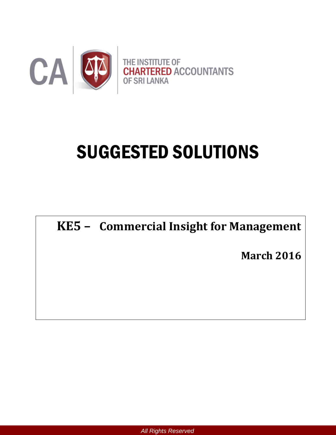

# SUGGESTED SOLUTIONS

**KE5 – Commercial Insight for Management**

**March 2016**

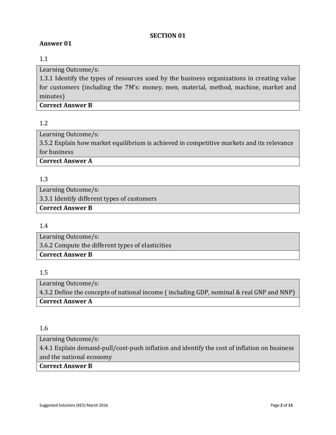#### **SECTION 01**

## **Answer 01**

## 1.1

Learning Outcome/s:

1.3.1 Identify the types of resources used by the business organizations in creating value for customers (including the 7M's: money, men, material, method, machine, market and minutes)

## **Correct Answer B**

# 1.2

Learning Outcome/s: 3.5.2 Explain how market equilibrium is achieved in competitive markets and its relevance for business **Correct Answer A**

### 1.3

Learning Outcome/s: 3.3.1 Identify different types of customers **Correct Answer B**

## 1.4

Learning Outcome/s: 3.6.2 Compute the different types of elasticities **Correct Answer B**

## 1.5

Learning Outcome/s: 4.3.2 Define the concepts of national income ( including GDP, nominal & real GNP and NNP) **Correct Answer A**

#### 1.6

Learning Outcome/s:

4.4.1 Explain demand-pull/cost-push inflation and identify the cost of inflation on business and the national economy

#### **Correct Answer B**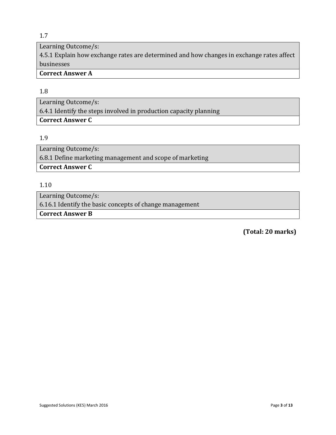## 1.7

Learning Outcome/s:

4.5.1 Explain how exchange rates are determined and how changes in exchange rates affect businesses

# **Correct Answer A**

## 1.8

Learning Outcome/s: 6.4.1 Identify the steps involved in production capacity planning **Correct Answer C**

#### 1.9

Learning Outcome/s: 6.8.1 Define marketing management and scope of marketing **Correct Answer C**

1.10

Learning Outcome/s:

6.16.1 Identify the basic concepts of change management

**Correct Answer B**

 **(Total: 20 marks)**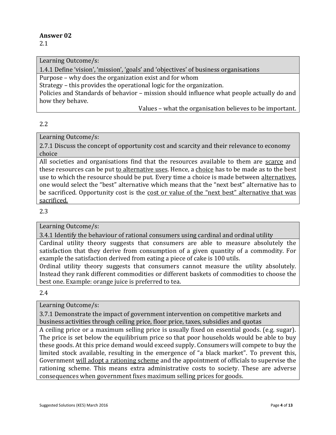2.1

Learning Outcome/s:

1.4.1 Define 'vision', 'mission', 'goals' and 'objectives' of business organisations

Purpose – why does the organization exist and for whom

Strategy – this provides the operational logic for the organization.

Policies and Standards of behavior – mission should influence what people actually do and how they behave.

Values – what the organisation believes to be important.

### 2.2

Learning Outcome/s:

2.7.1 Discuss the concept of opportunity cost and scarcity and their relevance to economy choice

All societies and organisations find that the resources available to them are scarce and these resources can be put to alternative uses. Hence, a choice has to be made as to the best use to which the resource should be put. Every time a choice is made between alternatives, one would select the "best" alternative which means that the "next best" alternative has to be sacrificed. Opportunity cost is the cost or value of the "next best" alternative that was sacrificed.

### 2.3

Learning Outcome/s:

3.4.1 Identify the behaviour of rational consumers using cardinal and ordinal utility

Cardinal utility theory suggests that consumers are able to measure absolutely the satisfaction that they derive from consumption of a given quantity of a commodity. For example the satisfaction derived from eating a piece of cake is 100 utils.

Ordinal utility theory suggests that consumers cannot measure the utility absolutely. Instead they rank different commodities or different baskets of commodities to choose the best one. Example: orange juice is preferred to tea.

2.4

Learning Outcome/s:

3.7.1 Demonstrate the impact of government intervention on competitive markets and business activities through ceiling price, floor price, taxes, subsidies and quotas

A ceiling price or a maximum selling price is usually fixed on essential goods. (e.g. sugar). The price is set below the equilibrium price so that poor households would be able to buy these goods. At this price demand would exceed supply. Consumers will compete to buy the limited stock available, resulting in the emergence of "a black market". To prevent this, Government will adopt a rationing scheme and the appointment of officials to supervise the rationing scheme. This means extra administrative costs to society. These are adverse consequences when government fixes maximum selling prices for goods.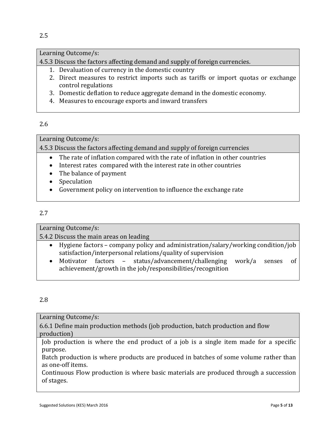# Learning Outcome/s:

4.5.3 Discuss the factors affecting demand and supply of foreign currencies.

- 1. Devaluation of currency in the domestic country
- 2. Direct measures to restrict imports such as tariffs or import quotas or exchange control regulations
- 3. Domestic deflation to reduce aggregate demand in the domestic economy.
- 4. Measures to encourage exports and inward transfers

## 2.6

## Learning Outcome/s:

4.5.3 Discuss the factors affecting demand and supply of foreign currencies

- The rate of inflation compared with the rate of inflation in other countries
- Interest rates compared with the interest rate in other countries
- The balance of payment
- Speculation
- Government policy on intervention to influence the exchange rate

# 2.7

Learning Outcome/s:

5.4.2 Discuss the main areas on leading

- Hygiene factors company policy and administration/salary/working condition/job satisfaction/interpersonal relations/quality of supervision
- Motivator factors status/advancement/challenging work/a senses of achievement/growth in the job/responsibilities/recognition

# 2.8

Learning Outcome/s:

6.6.1 Define main production methods (job production, batch production and flow production)

Job production is where the end product of a job is a single item made for a specific purpose.

Batch production is where products are produced in batches of some volume rather than as one-off items.

Continuous Flow production is where basic materials are produced through a succession of stages.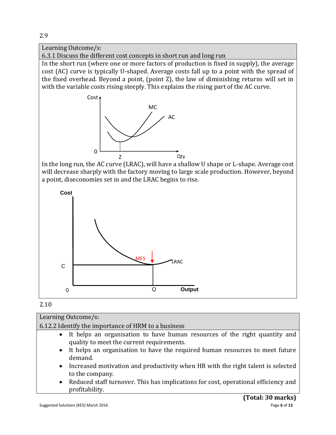

# 2.10

| Learning Outcome/s:                                                                                                       |
|---------------------------------------------------------------------------------------------------------------------------|
| 6.12.2 Identify the importance of HRM to a business                                                                       |
| • It helps an organisation to have human resources of the right quantity and<br>quality to meet the current requirements. |
| • It helps an organisation to have the required human resources to meet future<br>demand.                                 |
| • Increased motivation and productivity when HR with the right talent is selected<br>to the company.                      |
| • Deduced staff turnayar This has implications for sect, energianal efficiency and                                        |

 Reduced staff turnover. This has implications for cost, operational efficiency and profitability.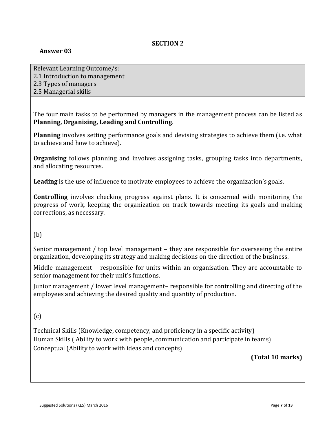## **SECTION 2**

## **Answer 03**

Relevant Learning Outcome/s: 2.1 Introduction to management 2.3 Types of managers 2.5 Managerial skills

The four main tasks to be performed by managers in the management process can be listed as **Planning, Organising, Leading and Controlling**.

**Planning** involves setting performance goals and devising strategies to achieve them (i.e. what to achieve and how to achieve).

**Organising** follows planning and involves assigning tasks, grouping tasks into departments, and allocating resources.

**Leading** is the use of influence to motivate employees to achieve the organization's goals.

**Controlling** involves checking progress against plans. It is concerned with monitoring the progress of work, keeping the organization on track towards meeting its goals and making corrections, as necessary.

## (b)

Senior management / top level management – they are responsible for overseeing the entire organization, developing its strategy and making decisions on the direction of the business.

Middle management – responsible for units within an organisation. They are accountable to senior management for their unit's functions.

Junior management / lower level management– responsible for controlling and directing of the employees and achieving the desired quality and quantity of production.

# $(c)$

Technical Skills (Knowledge, competency, and proficiency in a specific activity) Human Skills ( Ability to work with people, communication and participate in teams) Conceptual (Ability to work with ideas and concepts)

## **(Total 10 marks)**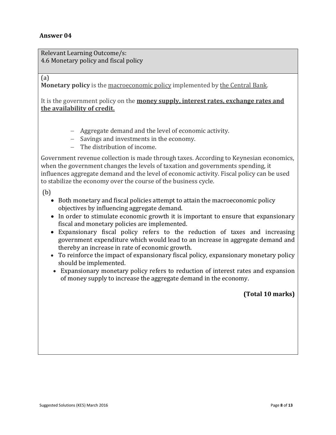Relevant Learning Outcome/s: 4.6 Monetary policy and fiscal policy

(a)

**Monetary policy** is the macroeconomic policy implemented by the Central Bank.

It is the government policy on the **money supply, interest rates, exchange rates and the availability of credit.**

- Aggregate demand and the level of economic activity.
- Savings and investments in the economy.
- The distribution of income.

Government revenue collection is made through taxes. According to Keynesian economics, when the government changes the levels of taxation and governments spending, it influences aggregate demand and the level of economic activity. Fiscal policy can be used to stabilize the economy over the course of the business cycle.

(b)

- Both monetary and fiscal policies attempt to attain the macroeconomic policy objectives by influencing aggregate demand.
- In order to stimulate economic growth it is important to ensure that expansionary fiscal and monetary policies are implemented.
- Expansionary fiscal policy refers to the reduction of taxes and increasing government expenditure which would lead to an increase in aggregate demand and thereby an increase in rate of economic growth.
- To reinforce the impact of expansionary fiscal policy, expansionary monetary policy should be implemented.
- Expansionary monetary policy refers to reduction of interest rates and expansion of money supply to increase the aggregate demand in the economy.

**(Total 10 marks)**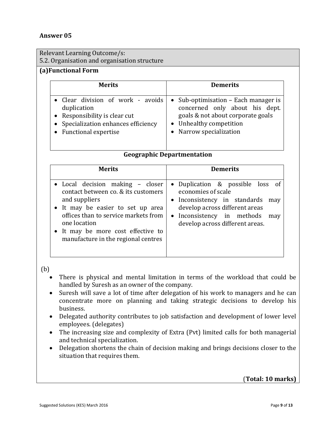Relevant Learning Outcome/s:

5.2. Organisation and organisation structure

# **(a)Functional Form**

| <b>Merits</b>                        | <b>Demerits</b>                      |  |
|--------------------------------------|--------------------------------------|--|
| • Clear division of work - avoids    | • Sub-optimisation – Each manager is |  |
| duplication                          | concerned only about his dept.       |  |
| • Responsibility is clear cut        | goals & not about corporate goals    |  |
| • Specialization enhances efficiency | • Unhealthy competition              |  |
| • Functional expertise               | • Narrow specialization              |  |

#### **Geographic Departmentation**

| <b>Merits</b>                        | <b>Demerits</b>                  |
|--------------------------------------|----------------------------------|
| • Local decision making – closer     | • Duplication & possible loss of |
| contact between co. & its customers  | economies of scale               |
| and suppliers                        | • Inconsistency in standards     |
| • It may be easier to set up area    | may                              |
| offices than to service markets from | develop across different areas   |
| one location                         | • Inconsistency in methods       |
| • It may be more cost effective to   | may                              |
| manufacture in the regional centres  | develop across different areas.  |

(b)

- There is physical and mental limitation in terms of the workload that could be handled by Suresh as an owner of the company.
- Suresh will save a lot of time after delegation of his work to managers and he can concentrate more on planning and taking strategic decisions to develop his business.
- Delegated authority contributes to job satisfaction and development of lower level employees. (delegates)
- The increasing size and complexity of Extra (Pvt) limited calls for both managerial and technical specialization.
- Delegation shortens the chain of decision making and brings decisions closer to the situation that requires them.

(**Total: 10 marks)**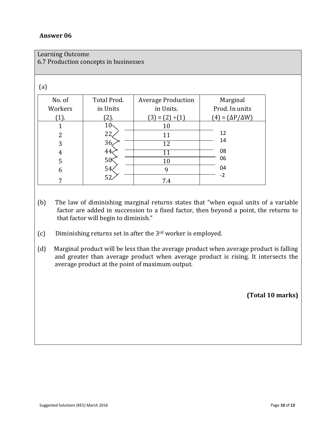| Learning Outcome                      |
|---------------------------------------|
| 6.7 Production concepts in businesses |

#### (a)

| No. of  | Total Prod.     | <b>Average Production</b>  | Marginal                        |
|---------|-----------------|----------------------------|---------------------------------|
| Workers | in Units        | in Units.                  | Prod. In units                  |
| $(1)$ . | $2$ ).          | $= (2)$<br>3)<br>$\div(1)$ | $= (\Delta P / \Delta W)$<br>41 |
|         | 10 <sub>1</sub> | 10                         |                                 |
| 2       | 22              | 11                         | 12                              |
| 3       | 36              | 12                         | 14                              |
| 4       | 44              |                            | 08                              |
| 5       | 50 <sup>°</sup> | 10                         | 06                              |
| 6       | 54              | q                          | 04                              |
|         | 52              | 7.4                        | $-2$                            |

- (b) The law of diminishing marginal returns states that "when equal units of a variable factor are added in succession to a fixed factor, then beyond a point, the returns to that factor will begin to diminish."
- (c) Diminishing returns set in after the 3rd worker is employed.
- (d) Marginal product will be less than the average product when average product is falling and greater than average product when average product is rising. It intersects the average product at the point of maximum output.

**(Total 10 marks)**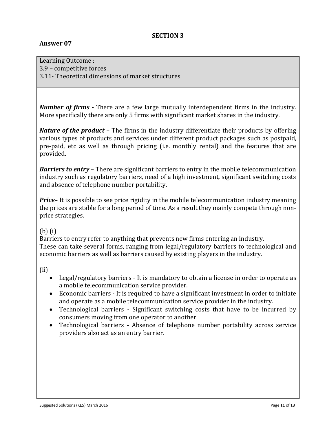#### **SECTION 3**

## **Answer 07**

Learning Outcome : 3.9 – competitive forces 3.11- Theoretical dimensions of market structures

*Number of firms -* There are a few large mutually interdependent firms in the industry. More specifically there are only 5 firms with significant market shares in the industry.

*Nature of the product* – The firms in the industry differentiate their products by offering various types of products and services under different product packages such as postpaid, pre-paid, etc as well as through pricing (i.e. monthly rental) and the features that are provided.

*Barriers to entry* – There are significant barriers to entry in the mobile telecommunication industry such as regulatory barriers, need of a high investment, significant switching costs and absence of telephone number portability.

*Price*– It is possible to see price rigidity in the mobile telecommunication industry meaning the prices are stable for a long period of time. As a result they mainly compete through nonprice strategies.

## (b) (i)

Barriers to entry refer to anything that prevents new firms entering an industry. These can take several forms, ranging from legal/regulatory barriers to technological and economic barriers as well as barriers caused by existing players in the industry.

(ii)

- Legal/regulatory barriers It is mandatory to obtain a license in order to operate as a mobile telecommunication service provider.
- Economic barriers It is required to have a significant investment in order to initiate and operate as a mobile telecommunication service provider in the industry.
- Technological barriers Significant switching costs that have to be incurred by consumers moving from one operator to another
- Technological barriers Absence of telephone number portability across service providers also act as an entry barrier.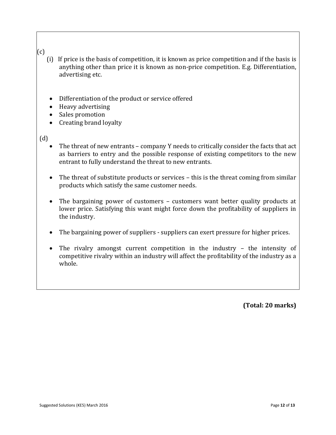# (c)

- (i) If price is the basis of competition, it is known as price competition and if the basis is anything other than price it is known as non-price competition. E.g. Differentiation, advertising etc.
- Differentiation of the product or service offered
- Heavy advertising
- Sales promotion
- Creating brand loyalty

## (d)

- The threat of new entrants company Y needs to critically consider the facts that act as barriers to entry and the possible response of existing competitors to the new entrant to fully understand the threat to new entrants.
- The threat of substitute products or services this is the threat coming from similar products which satisfy the same customer needs.
- The bargaining power of customers customers want better quality products at lower price. Satisfying this want might force down the profitability of suppliers in the industry.
- The bargaining power of suppliers suppliers can exert pressure for higher prices.
- The rivalry amongst current competition in the industry the intensity of competitive rivalry within an industry will affect the profitability of the industry as a whole.

**(Total: 20 marks)**